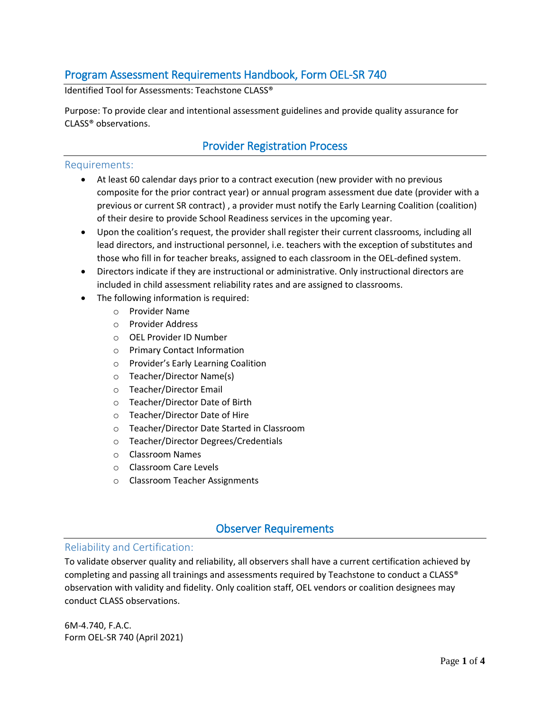# Program Assessment Requirements Handbook, Form OEL-SR 740

Identified Tool for Assessments: Teachstone CLASS®

Purpose: To provide clear and intentional assessment guidelines and provide quality assurance for CLASS® observations.

## Provider Registration Process

#### Requirements:

- At least 60 calendar days prior to a contract execution (new provider with no previous composite for the prior contract year) or annual program assessment due date (provider with a previous or current SR contract) , a provider must notify the Early Learning Coalition (coalition) of their desire to provide School Readiness services in the upcoming year.
- Upon the coalition's request, the provider shall register their current classrooms, including all lead directors, and instructional personnel, i.e. teachers with the exception of substitutes and those who fill in for teacher breaks, assigned to each classroom in the OEL-defined system.
- Directors indicate if they are instructional or administrative. Only instructional directors are included in child assessment reliability rates and are assigned to classrooms.
- The following information is required:
	- o Provider Name
	- o Provider Address
	- o OEL Provider ID Number
	- o Primary Contact Information
	- o Provider's Early Learning Coalition
	- o Teacher/Director Name(s)
	- o Teacher/Director Email
	- o Teacher/Director Date of Birth
	- o Teacher/Director Date of Hire
	- o Teacher/Director Date Started in Classroom
	- o Teacher/Director Degrees/Credentials
	- o Classroom Names
	- o Classroom Care Levels
	- o Classroom Teacher Assignments

## Observer Requirements

### Reliability and Certification:

To validate observer quality and reliability, all observers shall have a current certification achieved by completing and passing all trainings and assessments required by Teachstone to conduct a CLASS® observation with validity and fidelity. Only coalition staff, OEL vendors or coalition designees may conduct CLASS observations.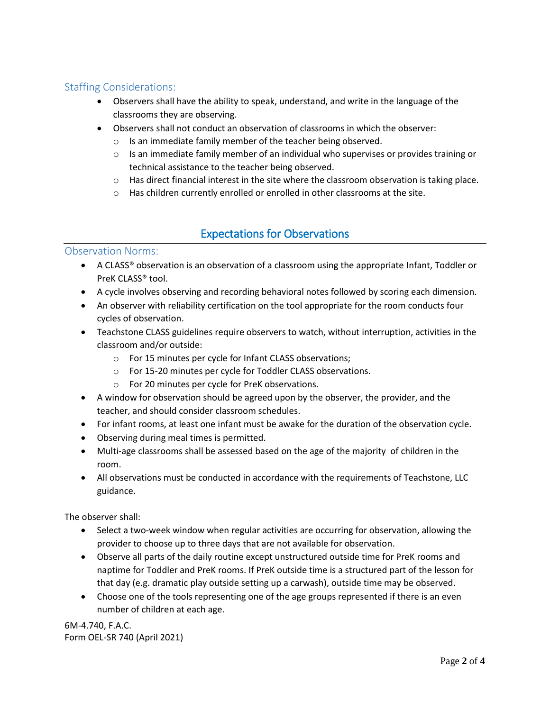## Staffing Considerations:

- Observers shall have the ability to speak, understand, and write in the language of the classrooms they are observing.
- Observers shall not conduct an observation of classrooms in which the observer:
	- o Is an immediate family member of the teacher being observed.
	- $\circ$  Is an immediate family member of an individual who supervises or provides training or technical assistance to the teacher being observed.
	- $\circ$  Has direct financial interest in the site where the classroom observation is taking place.
	- o Has children currently enrolled or enrolled in other classrooms at the site.

# Expectations for Observations

### Observation Norms:

- A CLASS® observation is an observation of a classroom using the appropriate Infant, Toddler or PreK CLASS® tool.
- A cycle involves observing and recording behavioral notes followed by scoring each dimension.
- An observer with reliability certification on the tool appropriate for the room conducts four cycles of observation.
- Teachstone CLASS guidelines require observers to watch, without interruption, activities in the classroom and/or outside:
	- o For 15 minutes per cycle for Infant CLASS observations;
	- o For 15-20 minutes per cycle for Toddler CLASS observations.
	- o For 20 minutes per cycle for PreK observations.
- A window for observation should be agreed upon by the observer, the provider, and the teacher, and should consider classroom schedules.
- For infant rooms, at least one infant must be awake for the duration of the observation cycle.
- Observing during meal times is permitted.
- Multi-age classrooms shall be assessed based on the age of the majority of children in the room.
- All observations must be conducted in accordance with the requirements of Teachstone, LLC guidance.

The observer shall:

- Select a two-week window when regular activities are occurring for observation, allowing the provider to choose up to three days that are not available for observation.
- Observe all parts of the daily routine except unstructured outside time for PreK rooms and naptime for Toddler and PreK rooms. If PreK outside time is a structured part of the lesson for that day (e.g. dramatic play outside setting up a carwash), outside time may be observed.
- Choose one of the tools representing one of the age groups represented if there is an even number of children at each age.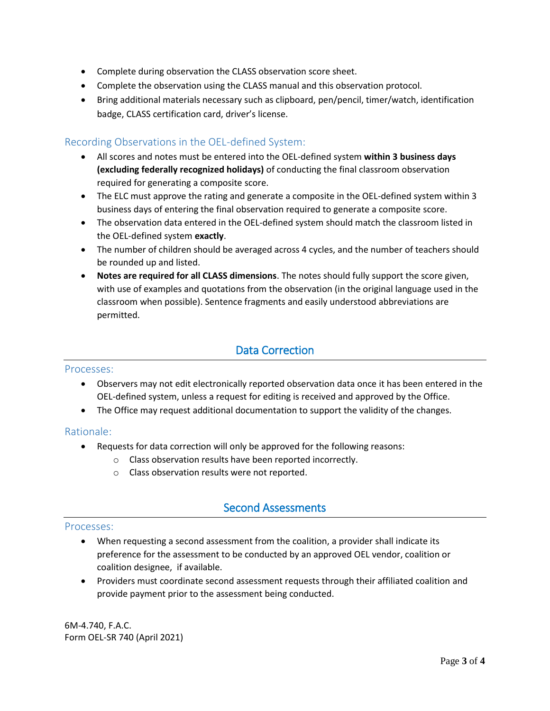- Complete during observation the CLASS observation score sheet.
- Complete the observation using the CLASS manual and this observation protocol.
- Bring additional materials necessary such as clipboard, pen/pencil, timer/watch, identification badge, CLASS certification card, driver's license.

### Recording Observations in the OEL-defined System:

- All scores and notes must be entered into the OEL-defined system **within 3 business days (excluding federally recognized holidays)** of conducting the final classroom observation required for generating a composite score.
- The ELC must approve the rating and generate a composite in the OEL-defined system within 3 business days of entering the final observation required to generate a composite score.
- The observation data entered in the OEL-defined system should match the classroom listed in the OEL-defined system **exactly**.
- The number of children should be averaged across 4 cycles, and the number of teachers should be rounded up and listed.
- **Notes are required for all CLASS dimensions**. The notes should fully support the score given, with use of examples and quotations from the observation (in the original language used in the classroom when possible). Sentence fragments and easily understood abbreviations are permitted.

## Data Correction

#### Processes:

- Observers may not edit electronically reported observation data once it has been entered in the OEL-defined system, unless a request for editing is received and approved by the Office.
- The Office may request additional documentation to support the validity of the changes.

#### Rationale:

- Requests for data correction will only be approved for the following reasons:
	- o Class observation results have been reported incorrectly.
	- o Class observation results were not reported.

## Second Assessments

#### Processes:

- When requesting a second assessment from the coalition, a provider shall indicate its preference for the assessment to be conducted by an approved OEL vendor, coalition or coalition designee, if available.
- Providers must coordinate second assessment requests through their affiliated coalition and provide payment prior to the assessment being conducted.